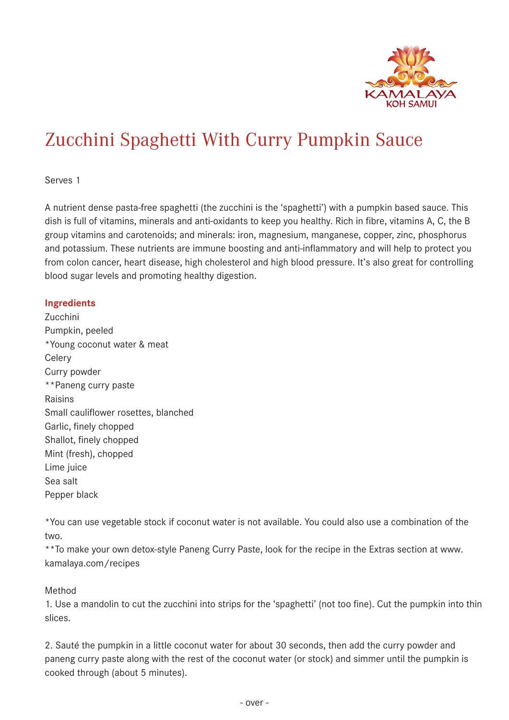

### Zucchini Spaghetti With Curry Pumpkin Sauce

Serves 1

A nutrient dense pasta-free spaghetti (the zucchini is the 'spaghetti') with a pumpkin based sauce. This dish is full of vitamins, minerals and anti-oxidants to keep you healthy. Rich in fibre, vitamins A, C, the B group vitamins and carotenoids; and minerals: iron, magnesium, manganese, copper, zinc, phosphorus and potassium. These nutrients are immune boosting and anti-inflammatory and will help to protect you from colon cancer, heart disease, high cholesterol and high blood pressure. It's also great for controlling blood sugar levels and promoting healthy digestion.

### **Ingredients**

Zucchini Pumpkin, peeled \*Young coconut water & meat **Celery** Curry powder \*\*Paneng curry paste Raisins Small cauliflower rosettes, blanched Garlic, finely chopped Shallot, finely chopped Mint (fresh), chopped Lime juice Sea salt Pepper black

\*You can use vegetable stock if coconut water is not available. You could also use a combination of the two.

\*\*To make your own detox-style Paneng Curry Paste, look for the recipe in the Extras section at www. kamalaya.com/recipes

### Method

1. Use a mandolin to cut the zucchini into strips for the 'spaghetti' (not too fine). Cut the pumpkin into thin slices.

2. Sauté the pumpkin in a little coconut water for about 30 seconds, then add the curry powder and paneng curry paste along with the rest of the coconut water (or stock) and simmer until the pumpkin is cooked through (about 5 minutes).